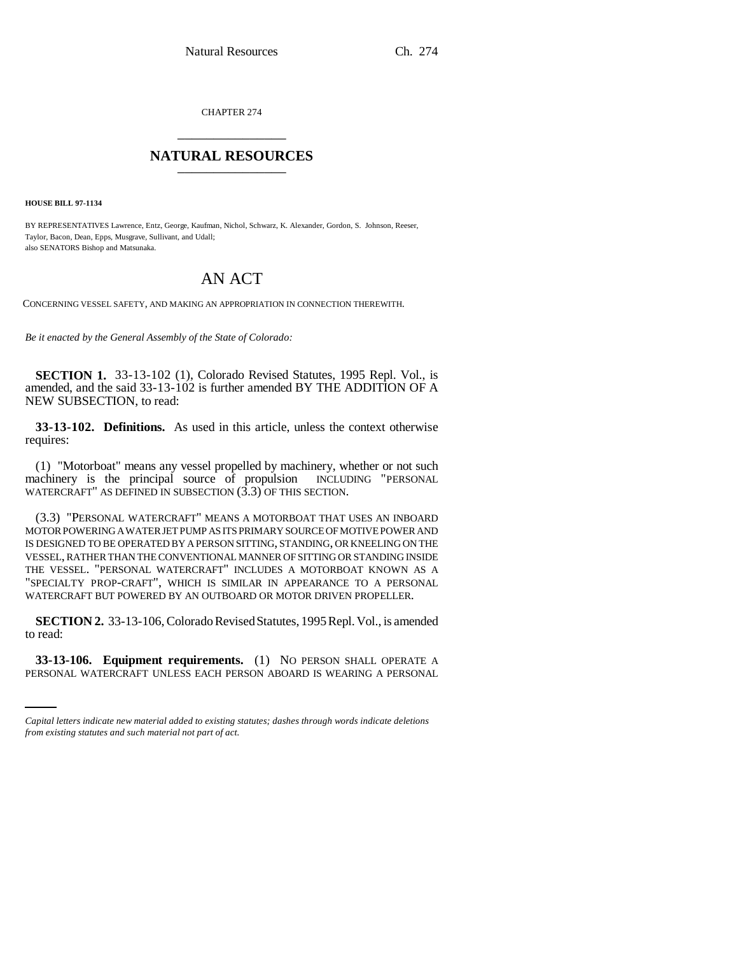CHAPTER 274 \_\_\_\_\_\_\_\_\_\_\_\_\_\_\_

## **NATURAL RESOURCES** \_\_\_\_\_\_\_\_\_\_\_\_\_\_\_

**HOUSE BILL 97-1134**

BY REPRESENTATIVES Lawrence, Entz, George, Kaufman, Nichol, Schwarz, K. Alexander, Gordon, S. Johnson, Reeser, Taylor, Bacon, Dean, Epps, Musgrave, Sullivant, and Udall; also SENATORS Bishop and Matsunaka.

## AN ACT

CONCERNING VESSEL SAFETY, AND MAKING AN APPROPRIATION IN CONNECTION THEREWITH.

*Be it enacted by the General Assembly of the State of Colorado:*

**SECTION 1.** 33-13-102 (1), Colorado Revised Statutes, 1995 Repl. Vol., is amended, and the said 33-13-102 is further amended BY THE ADDITION OF A NEW SUBSECTION, to read:

**33-13-102. Definitions.** As used in this article, unless the context otherwise requires:

(1) "Motorboat" means any vessel propelled by machinery, whether or not such machinery is the principal source of propulsion INCLUDING "PERSONAL WATERCRAFT" AS DEFINED IN SUBSECTION (3.3) OF THIS SECTION.

(3.3) "PERSONAL WATERCRAFT" MEANS A MOTORBOAT THAT USES AN INBOARD MOTOR POWERING A WATER JET PUMP AS ITS PRIMARY SOURCE OF MOTIVE POWER AND IS DESIGNED TO BE OPERATED BY A PERSON SITTING, STANDING, OR KNEELING ON THE VESSEL, RATHER THAN THE CONVENTIONAL MANNER OF SITTING OR STANDING INSIDE THE VESSEL. "PERSONAL WATERCRAFT" INCLUDES A MOTORBOAT KNOWN AS A "SPECIALTY PROP-CRAFT", WHICH IS SIMILAR IN APPEARANCE TO A PERSONAL WATERCRAFT BUT POWERED BY AN OUTBOARD OR MOTOR DRIVEN PROPELLER.

**SECTION 2.** 33-13-106, Colorado Revised Statutes, 1995 Repl. Vol., is amended to read:

**33-13-106. Equipment requirements.** (1) NO PERSON SHALL OPERATE A PERSONAL WATERCRAFT UNLESS EACH PERSON ABOARD IS WEARING A PERSONAL

*Capital letters indicate new material added to existing statutes; dashes through words indicate deletions from existing statutes and such material not part of act.*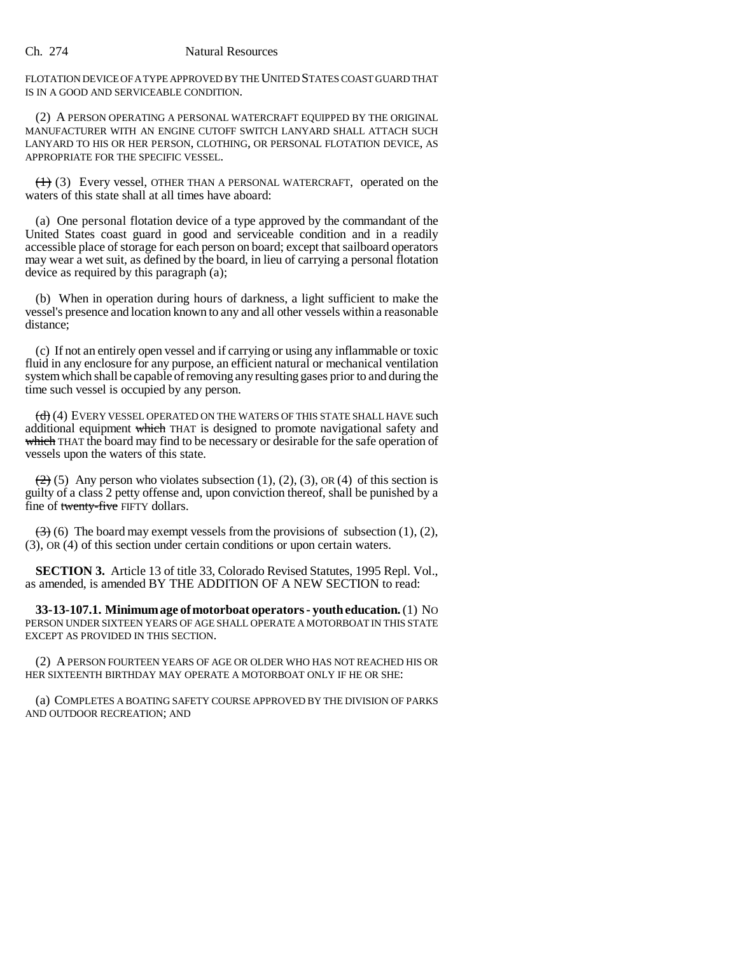FLOTATION DEVICE OF A TYPE APPROVED BY THE UNITED STATES COAST GUARD THAT IS IN A GOOD AND SERVICEABLE CONDITION.

(2) A PERSON OPERATING A PERSONAL WATERCRAFT EQUIPPED BY THE ORIGINAL MANUFACTURER WITH AN ENGINE CUTOFF SWITCH LANYARD SHALL ATTACH SUCH LANYARD TO HIS OR HER PERSON, CLOTHING, OR PERSONAL FLOTATION DEVICE, AS APPROPRIATE FOR THE SPECIFIC VESSEL.

 $(1)$  (3) Every vessel, OTHER THAN A PERSONAL WATERCRAFT, operated on the waters of this state shall at all times have aboard:

(a) One personal flotation device of a type approved by the commandant of the United States coast guard in good and serviceable condition and in a readily accessible place of storage for each person on board; except that sailboard operators may wear a wet suit, as defined by the board, in lieu of carrying a personal flotation device as required by this paragraph (a);

(b) When in operation during hours of darkness, a light sufficient to make the vessel's presence and location known to any and all other vessels within a reasonable distance;

(c) If not an entirely open vessel and if carrying or using any inflammable or toxic fluid in any enclosure for any purpose, an efficient natural or mechanical ventilation system which shall be capable of removing any resulting gases prior to and during the time such vessel is occupied by any person.

(d) (4) EVERY VESSEL OPERATED ON THE WATERS OF THIS STATE SHALL HAVE such additional equipment which THAT is designed to promote navigational safety and which THAT the board may find to be necessary or desirable for the safe operation of vessels upon the waters of this state.

 $(2)$  (5) Any person who violates subsection (1), (2), (3), OR (4) of this section is guilty of a class 2 petty offense and, upon conviction thereof, shall be punished by a fine of twenty-five FIFTY dollars.

 $\left(\frac{1}{2}\right)$  (6) The board may exempt vessels from the provisions of subsection (1), (2), (3), OR (4) of this section under certain conditions or upon certain waters.

**SECTION 3.** Article 13 of title 33, Colorado Revised Statutes, 1995 Repl. Vol., as amended, is amended BY THE ADDITION OF A NEW SECTION to read:

**33-13-107.1. Minimum age of motorboat operators - youth education.** (1) NO PERSON UNDER SIXTEEN YEARS OF AGE SHALL OPERATE A MOTORBOAT IN THIS STATE EXCEPT AS PROVIDED IN THIS SECTION.

(2) A PERSON FOURTEEN YEARS OF AGE OR OLDER WHO HAS NOT REACHED HIS OR HER SIXTEENTH BIRTHDAY MAY OPERATE A MOTORBOAT ONLY IF HE OR SHE:

(a) COMPLETES A BOATING SAFETY COURSE APPROVED BY THE DIVISION OF PARKS AND OUTDOOR RECREATION; AND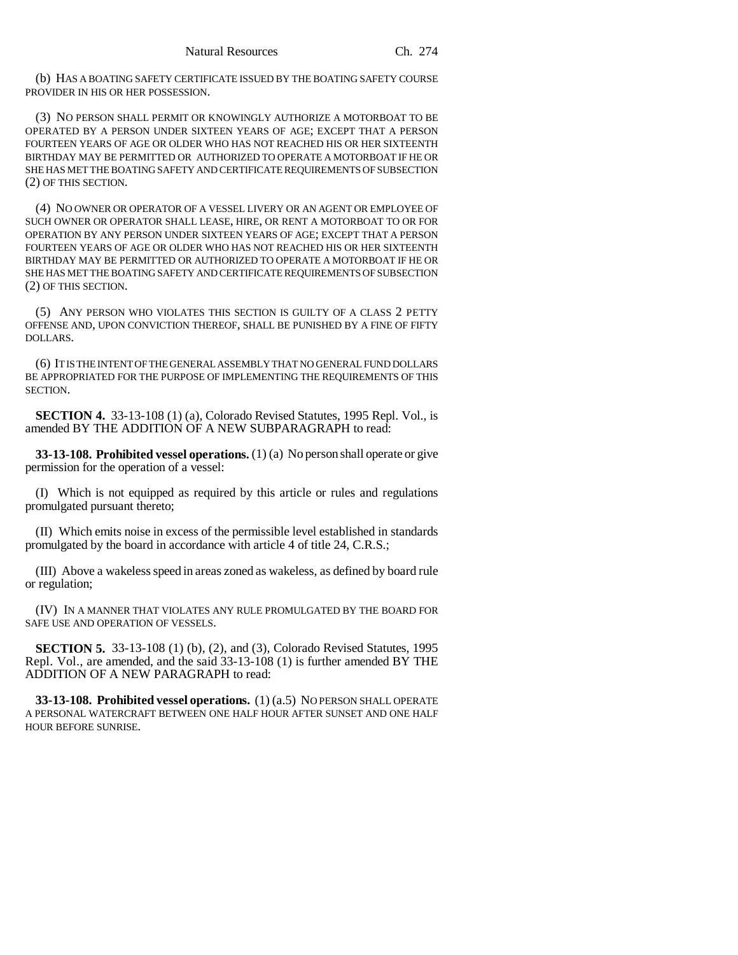(b) HAS A BOATING SAFETY CERTIFICATE ISSUED BY THE BOATING SAFETY COURSE PROVIDER IN HIS OR HER POSSESSION.

(3) NO PERSON SHALL PERMIT OR KNOWINGLY AUTHORIZE A MOTORBOAT TO BE OPERATED BY A PERSON UNDER SIXTEEN YEARS OF AGE; EXCEPT THAT A PERSON FOURTEEN YEARS OF AGE OR OLDER WHO HAS NOT REACHED HIS OR HER SIXTEENTH BIRTHDAY MAY BE PERMITTED OR AUTHORIZED TO OPERATE A MOTORBOAT IF HE OR SHE HAS MET THE BOATING SAFETY AND CERTIFICATE REQUIREMENTS OF SUBSECTION (2) OF THIS SECTION.

(4) NO OWNER OR OPERATOR OF A VESSEL LIVERY OR AN AGENT OR EMPLOYEE OF SUCH OWNER OR OPERATOR SHALL LEASE, HIRE, OR RENT A MOTORBOAT TO OR FOR OPERATION BY ANY PERSON UNDER SIXTEEN YEARS OF AGE; EXCEPT THAT A PERSON FOURTEEN YEARS OF AGE OR OLDER WHO HAS NOT REACHED HIS OR HER SIXTEENTH BIRTHDAY MAY BE PERMITTED OR AUTHORIZED TO OPERATE A MOTORBOAT IF HE OR SHE HAS MET THE BOATING SAFETY AND CERTIFICATE REQUIREMENTS OF SUBSECTION (2) OF THIS SECTION.

(5) ANY PERSON WHO VIOLATES THIS SECTION IS GUILTY OF A CLASS 2 PETTY OFFENSE AND, UPON CONVICTION THEREOF, SHALL BE PUNISHED BY A FINE OF FIFTY DOLLARS.

(6) IT IS THE INTENT OF THE GENERAL ASSEMBLY THAT NO GENERAL FUND DOLLARS BE APPROPRIATED FOR THE PURPOSE OF IMPLEMENTING THE REQUIREMENTS OF THIS SECTION.

**SECTION 4.** 33-13-108 (1) (a), Colorado Revised Statutes, 1995 Repl. Vol., is amended BY THE ADDITION OF A NEW SUBPARAGRAPH to read:

**33-13-108. Prohibited vessel operations.** (1) (a) No person shall operate or give permission for the operation of a vessel:

(I) Which is not equipped as required by this article or rules and regulations promulgated pursuant thereto;

(II) Which emits noise in excess of the permissible level established in standards promulgated by the board in accordance with article 4 of title 24, C.R.S.;

(III) Above a wakeless speed in areas zoned as wakeless, as defined by board rule or regulation;

(IV) IN A MANNER THAT VIOLATES ANY RULE PROMULGATED BY THE BOARD FOR SAFE USE AND OPERATION OF VESSELS.

**SECTION 5.** 33-13-108 (1) (b), (2), and (3), Colorado Revised Statutes, 1995 Repl. Vol., are amended, and the said 33-13-108 (1) is further amended BY THE ADDITION OF A NEW PARAGRAPH to read:

**33-13-108. Prohibited vessel operations.** (1) (a.5) NO PERSON SHALL OPERATE A PERSONAL WATERCRAFT BETWEEN ONE HALF HOUR AFTER SUNSET AND ONE HALF HOUR BEFORE SUNRISE.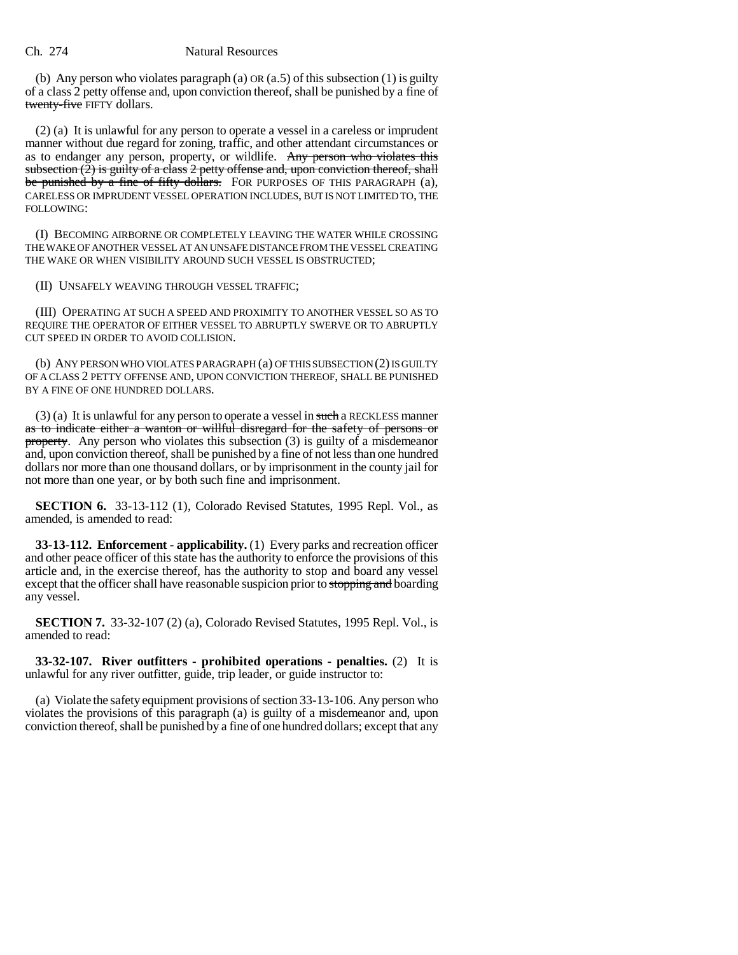## Ch. 274 Natural Resources

(b) Any person who violates paragraph (a)  $OR(a.5)$  of this subsection (1) is guilty of a class 2 petty offense and, upon conviction thereof, shall be punished by a fine of twenty-five FIFTY dollars.

(2) (a) It is unlawful for any person to operate a vessel in a careless or imprudent manner without due regard for zoning, traffic, and other attendant circumstances or as to endanger any person, property, or wildlife. Any person who violates this subsection  $(2)$  is guilty of a class 2 petty offense and, upon conviction thereof, shall be punished by a fine of fifty dollars. FOR PURPOSES OF THIS PARAGRAPH (a), CARELESS OR IMPRUDENT VESSEL OPERATION INCLUDES, BUT IS NOT LIMITED TO, THE FOLLOWING:

(I) BECOMING AIRBORNE OR COMPLETELY LEAVING THE WATER WHILE CROSSING THE WAKE OF ANOTHER VESSEL AT AN UNSAFE DISTANCE FROM THE VESSEL CREATING THE WAKE OR WHEN VISIBILITY AROUND SUCH VESSEL IS OBSTRUCTED;

(II) UNSAFELY WEAVING THROUGH VESSEL TRAFFIC;

(III) OPERATING AT SUCH A SPEED AND PROXIMITY TO ANOTHER VESSEL SO AS TO REQUIRE THE OPERATOR OF EITHER VESSEL TO ABRUPTLY SWERVE OR TO ABRUPTLY CUT SPEED IN ORDER TO AVOID COLLISION.

(b) ANY PERSON WHO VIOLATES PARAGRAPH (a) OF THIS SUBSECTION (2) IS GUILTY OF A CLASS 2 PETTY OFFENSE AND, UPON CONVICTION THEREOF, SHALL BE PUNISHED BY A FINE OF ONE HUNDRED DOLLARS.

 $(3)$  (a) It is unlawful for any person to operate a vessel in such a RECKLESS manner as to indicate either a wanton or willful disregard for the safety of persons or property. Any person who violates this subsection (3) is guilty of a misdemeanor and, upon conviction thereof, shall be punished by a fine of not less than one hundred dollars nor more than one thousand dollars, or by imprisonment in the county jail for not more than one year, or by both such fine and imprisonment.

**SECTION 6.** 33-13-112 (1), Colorado Revised Statutes, 1995 Repl. Vol., as amended, is amended to read:

**33-13-112. Enforcement - applicability.** (1) Every parks and recreation officer and other peace officer of this state has the authority to enforce the provisions of this article and, in the exercise thereof, has the authority to stop and board any vessel except that the officer shall have reasonable suspicion prior to stopping and boarding any vessel.

**SECTION 7.** 33-32-107 (2) (a), Colorado Revised Statutes, 1995 Repl. Vol., is amended to read:

**33-32-107. River outfitters - prohibited operations - penalties.** (2) It is unlawful for any river outfitter, guide, trip leader, or guide instructor to:

(a) Violate the safety equipment provisions of section 33-13-106. Any person who violates the provisions of this paragraph (a) is guilty of a misdemeanor and, upon conviction thereof, shall be punished by a fine of one hundred dollars; except that any